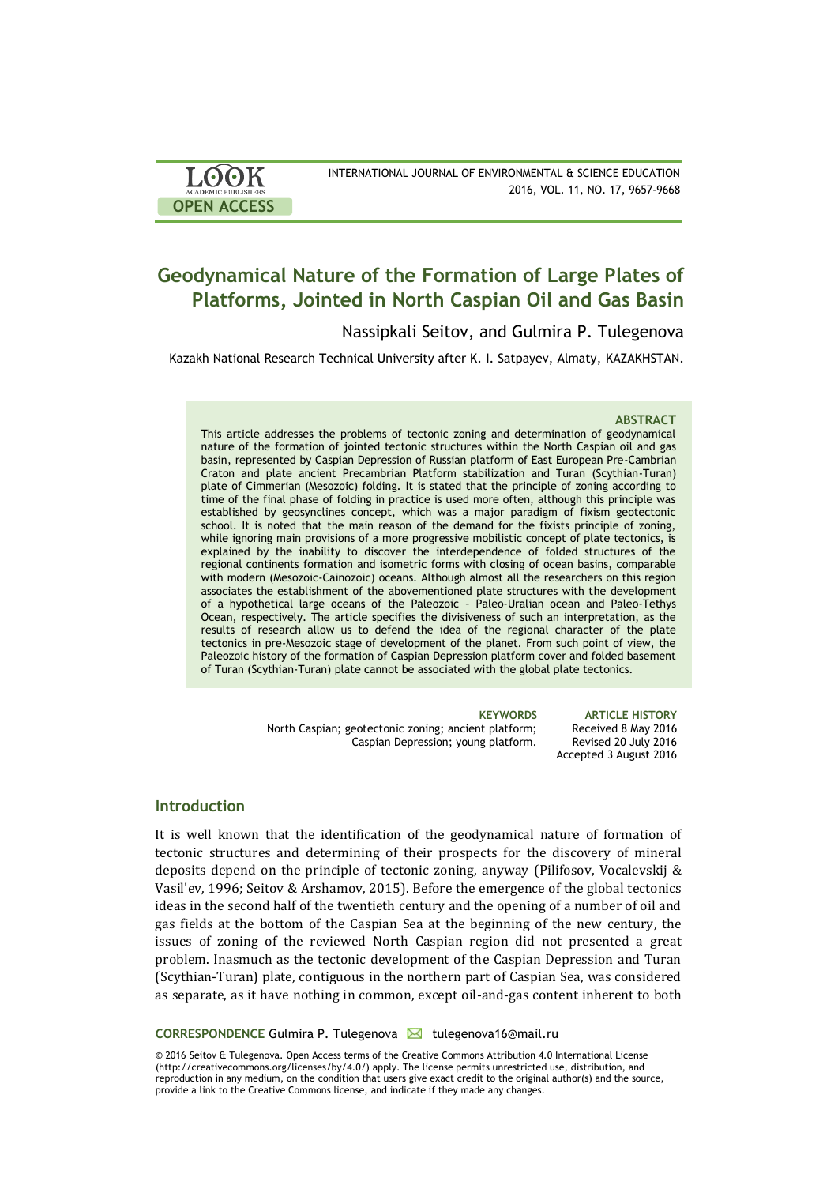| <b>LOOK</b>                | INTERNATIONAL JOURNAL OF ENVIRONMENTAL & SCIENCE EDUCATION |
|----------------------------|------------------------------------------------------------|
| <b>ACADEMIC PUBLISHERS</b> | 2016, VOL. 11, NO. 17, 9657-9668                           |
| <b>OPEN ACCESS</b>         |                                                            |

# **Geodynamical Nature of the Formation of Large Plates of Platforms, Jointed in North Caspian Oil and Gas Basin**

# Nassipkali Seitov, and Gulmira P. Tulegenova

Kazakh National Research Technical University after K. I. Satpayev, Almaty, KAZAKHSTAN.

### **ABSTRACT**

This article addresses the problems of tectonic zoning and determination of geodynamical nature of the formation of jointed tectonic structures within the North Caspian oil and gas basin, represented by Caspian Depression of Russian platform of East European Pre-Cambrian Craton and plate ancient Precambrian Platform stabilization and Turan (Scythian-Turan) plate of Cimmerian (Mesozoic) folding. It is stated that the principle of zoning according to time of the final phase of folding in practice is used more often, although this principle was established by geosynclines concept, which was a major paradigm of fixism geotectonic school. It is noted that the main reason of the demand for the fixists principle of zoning, while ignoring main provisions of a more progressive mobilistic concept of plate tectonics, is explained by the inability to discover the interdependence of folded structures of the regional continents formation and isometric forms with closing of ocean basins, comparable with modern (Mesozoic-Cainozoic) oceans. Although almost all the researchers on this region associates the establishment of the abovementioned plate structures with the development of a hypothetical large oceans of the Paleozoic – Paleo-Uralian ocean and Paleo-Tethys Ocean, respectively. The article specifies the divisiveness of such an interpretation, as the results of research allow us to defend the idea of the regional character of the plate tectonics in pre-Mesozoic stage of development of the planet. From such point of view, the Paleozoic history of the formation of Caspian Depression platform cover and folded basement of Turan (Scythian-Turan) plate cannot be associated with the global plate tectonics.

> North Caspian; geotectonic zoning; ancient platform; Caspian Depression; young platform.

**KEYWORDS ARTICLE HISTORY** Received 8 May 2016 Revised 20 July 2016 Accepted 3 August 2016

# **Introduction**

It is well known that the identification of the geodynamical nature of formation of tectonic structures and determining of their prospects for the discovery of mineral deposits depend on the principle of tectonic zoning, anyway (Pilifosov, Vocalevskij & Vasil'ev, 1996; Seitov & Arshamov, 2015). Before the emergence of the global tectonics ideas in the second half of the twentieth century and the opening of a number of oil and gas fields at the bottom of the Caspian Sea at the beginning of the new century, the issues of zoning of the reviewed North Caspian region did not presented a great problem. Inasmuch as the tectonic development of the Caspian Depression and Turan (Scythian-Turan) plate, contiguous in the northern part of Caspian Sea, was considered as separate, as it have nothing in common, except oil-and-gas content inherent to both

**CORRESPONDENCE Gulmira P. Tulegenova** ⊠ tulegenova16@mail.ru

© 2016 Seitov & Tulegenova. Open Access terms of the Creative Commons Attribution 4.0 International License (http://creativecommons.org/licenses/by/4.0/) apply. The license permits unrestricted use, distribution, and reproduction in any medium, on the condition that users give exact credit to the original author(s) and the source, provide a link to the Creative Commons license, and indicate if they made any changes.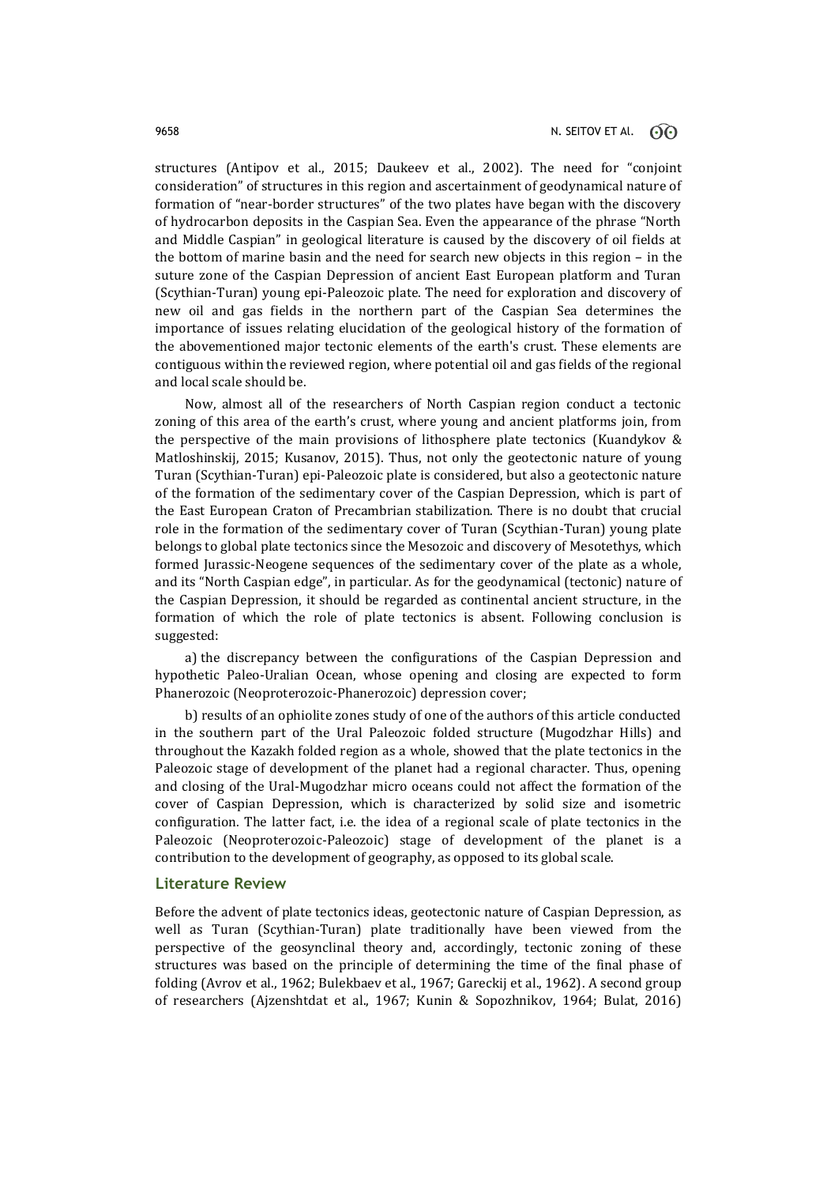structures (Antipov et al., 2015; Daukeev et al., 2002). The need for "conjoint consideration" of structures in this region and ascertainment of geodynamical nature of formation of "near-border structures" of the two plates have began with the discovery of hydrocarbon deposits in the Caspian Sea. Even the appearance of the phrase "North and Middle Caspian" in geological literature is caused by the discovery of oil fields at the bottom of marine basin and the need for search new objects in this region – in the suture zone of the Caspian Depression of ancient East European platform and Turan (Scythian-Turan) young epi-Paleozoic plate. The need for exploration and discovery of new oil and gas fields in the northern part of the Caspian Sea determines the importance of issues relating elucidation of the geological history of the formation of the abovementioned major tectonic elements of the earth's crust. These elements are contiguous within the reviewed region, where potential oil and gas fields of the regional and local scale should be.

Now, almost all of the researchers of North Caspian region conduct a tectonic zoning of this area of the earth's crust, where young and ancient platforms join, from the perspective of the main provisions of lithosphere plate tectonics (Kuandykov & Matloshinskij, 2015; Kusanov, 2015). Thus, not only the geotectonic nature of young Turan (Scythian-Turan) epi-Paleozoic plate is considered, but also a geotectonic nature of the formation of the sedimentary cover of the Caspian Depression, which is part of the East European Craton of Precambrian stabilization. There is no doubt that crucial role in the formation of the sedimentary cover of Turan (Scythian-Turan) young plate belongs to global plate tectonics since the Mesozoic and discovery of Mesotethys, which formed Jurassic-Neogene sequences of the sedimentary cover of the plate as a whole, and its "North Caspian edge", in particular. As for the geodynamical (tectonic) nature of the Caspian Depression, it should be regarded as continental ancient structure, in the formation of which the role of plate tectonics is absent. Following conclusion is suggested:

a) the discrepancy between the configurations of the Caspian Depression and hypothetic Paleo-Uralian Ocean, whose opening and closing are expected to form Phanerozoic (Neoproterozoic-Phanerozoic) depression cover;

b) results of an ophiolite zones study of one of the authors of this article conducted in the southern part of the Ural Paleozoic folded structure (Mugodzhar Hills) and throughout the Kazakh folded region as a whole, showed that the plate tectonics in the Paleozoic stage of development of the planet had a regional character. Thus, opening and closing of the Ural-Mugodzhar micro oceans could not affect the formation of the cover of Caspian Depression, which is characterized by solid size and isometric configuration. The latter fact, i.e. the idea of a regional scale of plate tectonics in the Paleozoic (Neoproterozoic-Paleozoic) stage of development of the planet is a contribution to the development of geography, as opposed to its global scale.

### **Literature Review**

Before the advent of plate tectonics ideas, geotectonic nature of Caspian Depression, as well as Turan (Scythian-Turan) plate traditionally have been viewed from the perspective of the geosynclinal theory and, accordingly, tectonic zoning of these structures was based on the principle of determining the time of the final phase of folding (Avrov et al., 1962; Bulekbaev et al., 1967; Gareckij et al., 1962). A second group of researchers (Ajzenshtdat et al., 1967; Kunin & Sopozhnikov, 1964; Bulat, 2016)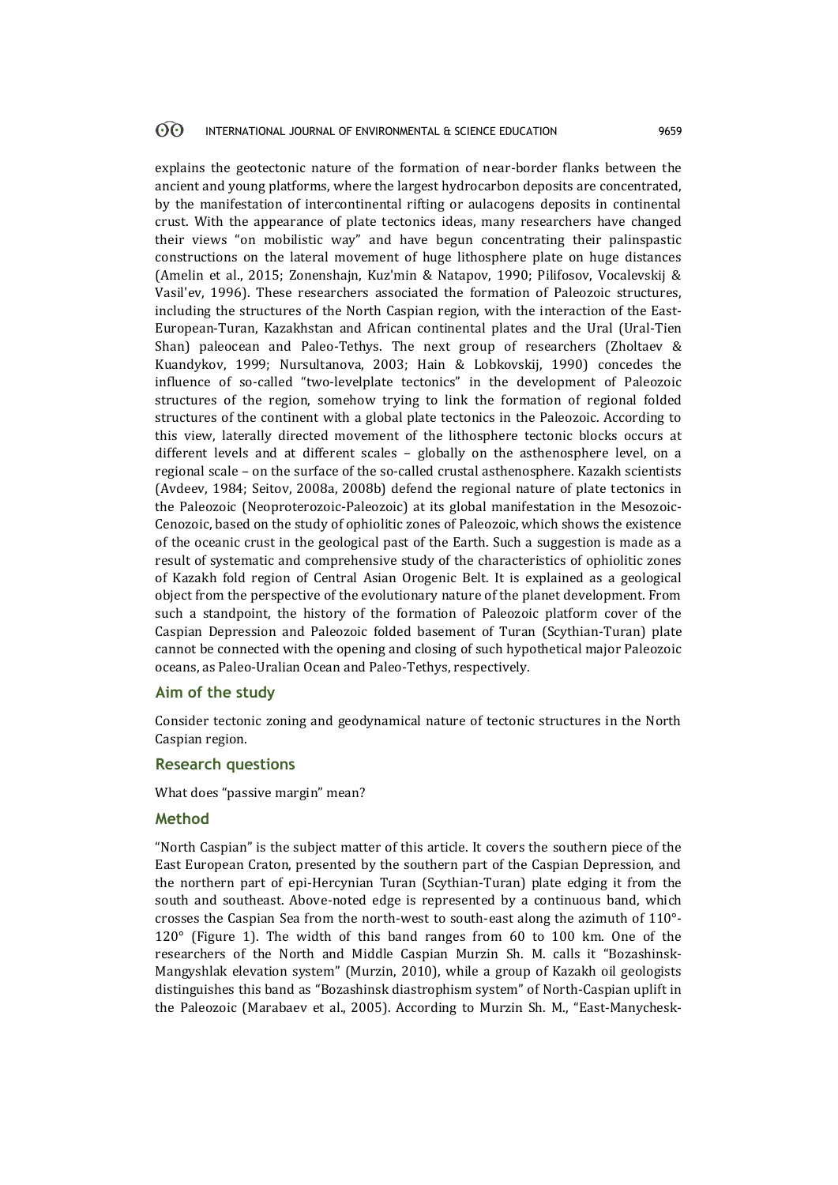#### 60 INTERNATIONAL JOURNAL OF ENVIRONMENTAL & SCIENCE EDUCATION 9659

explains the geotectonic nature of the formation of near-border flanks between the ancient and young platforms, where the largest hydrocarbon deposits are concentrated, by the manifestation of intercontinental rifting or aulacogens deposits in continental crust. With the appearance of plate tectonics ideas, many researchers have changed their views "on mobilistic way" and have begun concentrating their palinspastic constructions on the lateral movement of huge lithosphere plate on huge distances (Amelin et al., 2015; Zonenshajn, Kuz'min & Natapov, 1990; Pilifosov, Vocalevskij & Vasil'ev, 1996). These researchers associated the formation of Paleozoic structures, including the structures of the North Caspian region, with the interaction of the East-European-Turan, Kazakhstan and African continental plates and the Ural (Ural-Tien Shan) paleocean and Paleo-Tethys. The next group of researchers (Zholtaev & Kuandykov, 1999; Nursultanova, 2003; Hain & Lobkovskij, 1990) concedes the influence of so-called "two-levelplate tectonics" in the development of Paleozoic structures of the region, somehow trying to link the formation of regional folded structures of the continent with a global plate tectonics in the Paleozoic. According to this view, laterally directed movement of the lithosphere tectonic blocks occurs at different levels and at different scales – globally on the asthenosphere level, on a regional scale – on the surface of the so-called crustal asthenosphere. Kazakh scientists (Avdeev, 1984; Seitov, 2008a, 2008b) defend the regional nature of plate tectonics in the Paleozoic (Neoproterozoic-Paleozoic) at its global manifestation in the Mesozoic-Cenozoic, based on the study of ophiolitic zones of Paleozoic, which shows the existence of the oceanic crust in the geological past of the Earth. Such a suggestion is made as a result of systematic and comprehensive study of the characteristics of ophiolitic zones of Kazakh fold region of Central Asian Orogenic Belt. It is explained as a geological object from the perspective of the evolutionary nature of the planet development. From such a standpoint, the history of the formation of Paleozoic platform cover of the Caspian Depression and Paleozoic folded basement of Turan (Scythian-Turan) plate cannot be connected with the opening and closing of such hypothetical major Paleozoic oceans, as Paleo-Uralian Ocean and Paleo-Tethys, respectively.

### **Aim of the study**

Consider tectonic zoning and geodynamical nature of tectonic structures in the North Caspian region.

### **Research questions**

What does "passive margin" mean?

## **Method**

"North Caspian" is the subject matter of this article. It covers the southern piece of the East European Craton, presented by the southern part of the Caspian Depression, and the northern part of epi-Hercynian Turan (Scythian-Turan) plate edging it from the south and southeast. Above-noted edge is represented by a continuous band, which crosses the Caspian Sea from the north-west to south-east along the azimuth of 110°- 120° (Figure 1). The width of this band ranges from 60 to 100 km. One of the researchers of the North and Middle Caspian Murzin Sh. M. calls it "Bozashinsk-Mangyshlak elevation system" (Murzin, 2010), while a group of Kazakh oil geologists distinguishes this band as "Bozashinsk diastrophism system" of North-Caspian uplift in the Paleozoic (Marabaev et al., 2005). According to Murzin Sh. M., "East-Manychesk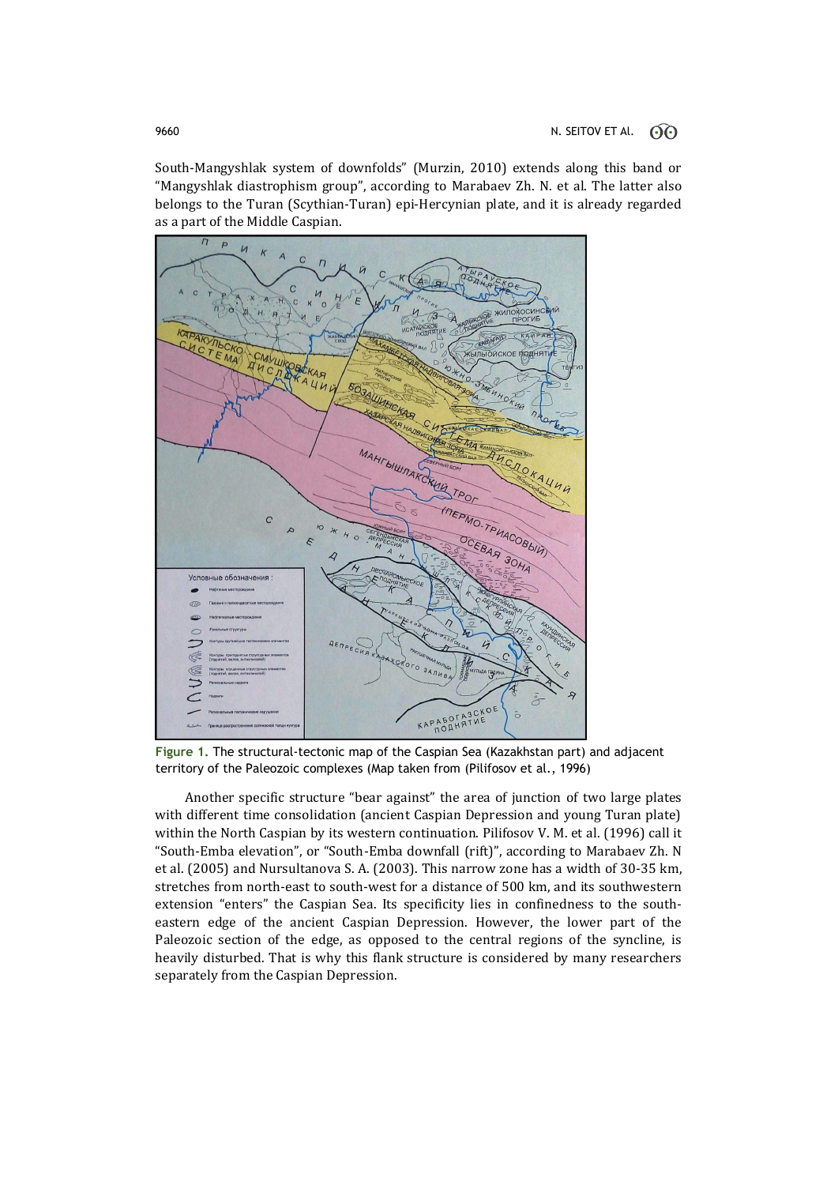South-Mangyshlak system of downfolds" (Murzin, 2010) extends along this band or "Mangyshlak diastrophism group", according to Marabaev Zh. N. et al. The latter also belongs to the Turan (Scythian-Turan) epi-Hercynian plate, and it is already regarded as a part of the Middle Caspian.



**Figure 1.** The structural-tectonic map of the Caspian Sea (Kazakhstan part) and adjacent territory of the Paleozoic complexes (Map taken from (Pilifosov et al., 1996)

Another specific structure "bear against" the area of junction of two large plates with different time consolidation (ancient Caspian Depression and young Turan plate) within the North Caspian by its western continuation. Pilifosov V. M. et al. (1996) call it "South-Emba elevation", or "South-Emba downfall (rift)", according to Marabaev Zh. N et al. (2005) and Nursultanova S. A. (2003). This narrow zone has a width of 30-35 km, stretches from north-east to south-west for a distance of 500 km, and its southwestern extension "enters" the Caspian Sea. Its specificity lies in confinedness to the southeastern edge of the ancient Caspian Depression. However, the lower part of the Paleozoic section of the edge, as opposed to the central regions of the syncline, is heavily disturbed. That is why this flank structure is considered by many researchers separately from the Caspian Depression.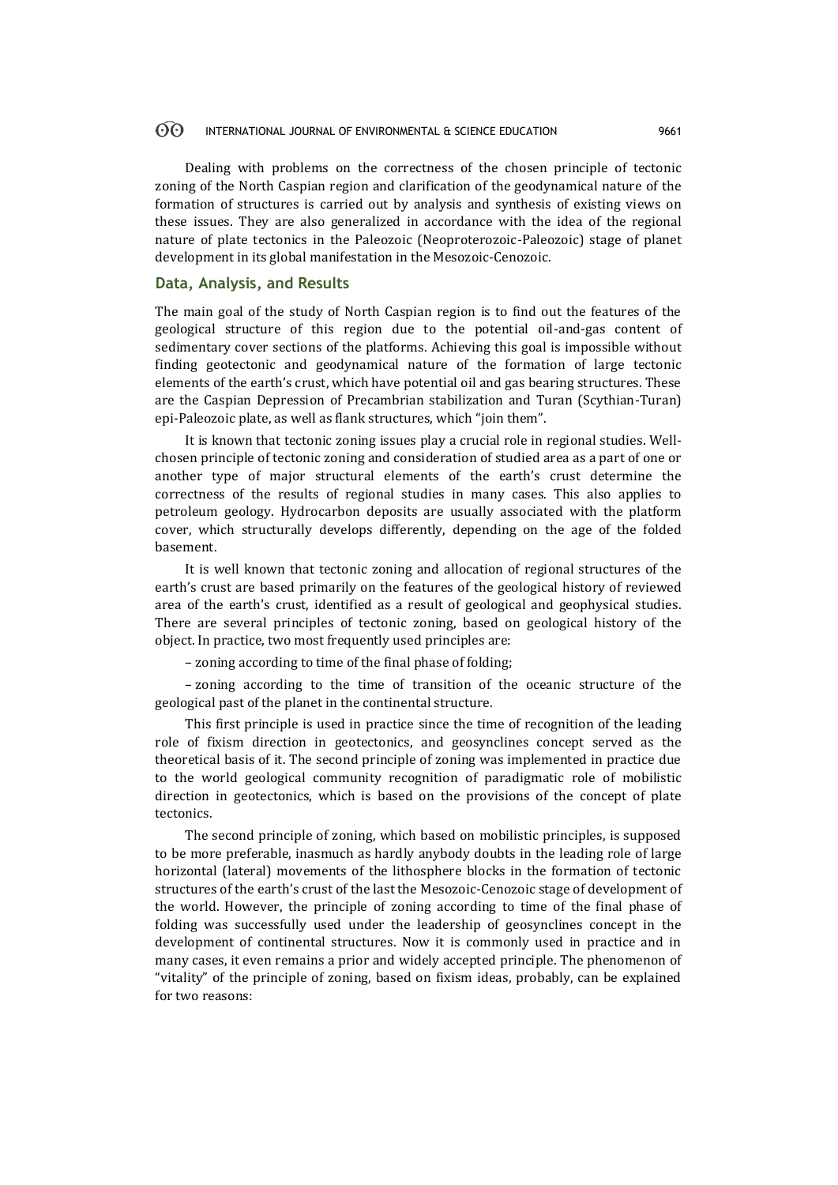#### $\odot$ INTERNATIONAL JOURNAL OF ENVIRONMENTAL & SCIENCE EDUCATION 9661

Dealing with problems on the correctness of the chosen principle of tectonic zoning of the North Caspian region and clarification of the geodynamical nature of the formation of structures is carried out by analysis and synthesis of existing views on these issues. They are also generalized in accordance with the idea of the regional nature of plate tectonics in the Paleozoic (Neoproterozoic-Paleozoic) stage of planet development in its global manifestation in the Mesozoic-Cenozoic.

## **Data, Analysis, and Results**

The main goal of the study of North Caspian region is to find out the features of the geological structure of this region due to the potential oil-and-gas content of sedimentary cover sections of the platforms. Achieving this goal is impossible without finding geotectonic and geodynamical nature of the formation of large tectonic elements of the earth's crust, which have potential oil and gas bearing structures. These are the Caspian Depression of Precambrian stabilization and Turan (Scythian-Turan) epi-Paleozoic plate, as well as flank structures, which "join them".

It is known that tectonic zoning issues play a crucial role in regional studies. Wellchosen principle of tectonic zoning and consideration of studied area as a part of one or another type of major structural elements of the earth's crust determine the correctness of the results of regional studies in many cases. This also applies to petroleum geology. Hydrocarbon deposits are usually associated with the platform cover, which structurally develops differently, depending on the age of the folded basement.

It is well known that tectonic zoning and allocation of regional structures of the earth's crust are based primarily on the features of the geological history of reviewed area of the earth's crust, identified as a result of geological and geophysical studies. There are several principles of tectonic zoning, based on geological history of the object. In practice, two most frequently used principles are:

– zoning according to time of the final phase of folding;

– zoning according to the time of transition of the oceanic structure of the geological past of the planet in the continental structure.

This first principle is used in practice since the time of recognition of the leading role of fixism direction in geotectonics, and geosynclines concept served as the theoretical basis of it. The second principle of zoning was implemented in practice due to the world geological community recognition of paradigmatic role of mobilistic direction in geotectonics, which is based on the provisions of the concept of plate tectonics.

The second principle of zoning, which based on mobilistic principles, is supposed to be more preferable, inasmuch as hardly anybody doubts in the leading role of large horizontal (lateral) movements of the lithosphere blocks in the formation of tectonic structures of the earth's crust of the last the Mesozoic-Cenozoic stage of development of the world. However, the principle of zoning according to time of the final phase of folding was successfully used under the leadership of geosynclines concept in the development of continental structures. Now it is commonly used in practice and in many cases, it even remains a prior and widely accepted principle. The phenomenon of "vitality" of the principle of zoning, based on fixism ideas, probably, can be explained for two reasons: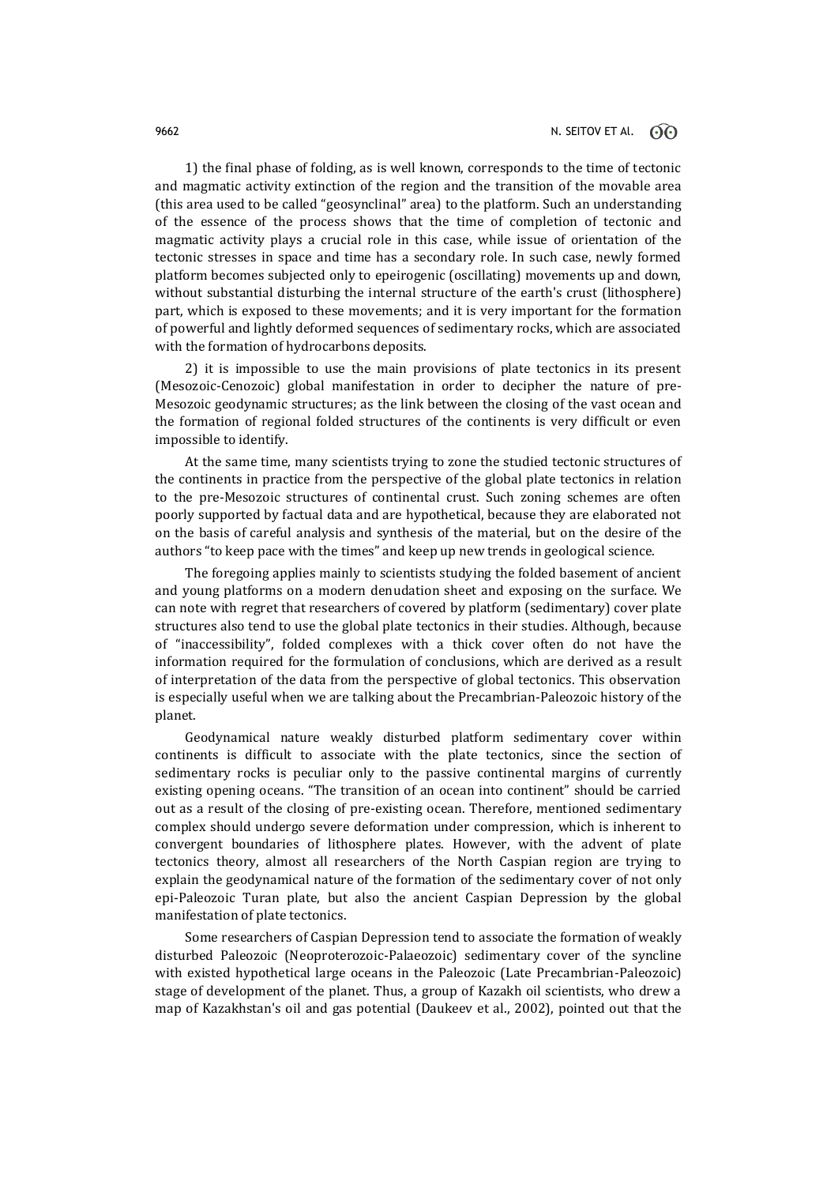1) the final phase of folding, as is well known, corresponds to the time of tectonic and magmatic activity extinction of the region and the transition of the movable area (this area used to be called "geosynclinal" area) to the platform. Such an understanding of the essence of the process shows that the time of completion of tectonic and magmatic activity plays a crucial role in this case, while issue of orientation of the tectonic stresses in space and time has a secondary role. In such case, newly formed platform becomes subjected only to epeirogenic (oscillating) movements up and down, without substantial disturbing the internal structure of the earth's crust (lithosphere) part, which is exposed to these movements; and it is very important for the formation of powerful and lightly deformed sequences of sedimentary rocks, which are associated with the formation of hydrocarbons deposits.

2) it is impossible to use the main provisions of plate tectonics in its present (Mesozoic-Cenozoic) global manifestation in order to decipher the nature of pre-Mesozoic geodynamic structures; as the link between the closing of the vast ocean and the formation of regional folded structures of the continents is very difficult or even impossible to identify.

At the same time, many scientists trying to zone the studied tectonic structures of the continents in practice from the perspective of the global plate tectonics in relation to the pre-Mesozoic structures of continental crust. Such zoning schemes are often poorly supported by factual data and are hypothetical, because they are elaborated not on the basis of careful analysis and synthesis of the material, but on the desire of the authors "to keep pace with the times" and keep up new trends in geological science.

The foregoing applies mainly to scientists studying the folded basement of ancient and young platforms on a modern denudation sheet and exposing on the surface. We can note with regret that researchers of covered by platform (sedimentary) cover plate structures also tend to use the global plate tectonics in their studies. Although, because of "inaccessibility", folded complexes with a thick cover often do not have the information required for the formulation of conclusions, which are derived as a result of interpretation of the data from the perspective of global tectonics. This observation is especially useful when we are talking about the Precambrian-Paleozoic history of the planet.

Geodynamical nature weakly disturbed platform sedimentary cover within continents is difficult to associate with the plate tectonics, since the section of sedimentary rocks is peculiar only to the passive continental margins of currently existing opening oceans. "The transition of an ocean into continent" should be carried out as a result of the closing of pre-existing ocean. Therefore, mentioned sedimentary complex should undergo severe deformation under compression, which is inherent to convergent boundaries of lithosphere plates. However, with the advent of plate tectonics theory, almost all researchers of the North Caspian region are trying to explain the geodynamical nature of the formation of the sedimentary cover of not only epi-Paleozoic Turan plate, but also the ancient Caspian Depression by the global manifestation of plate tectonics.

Some researchers of Caspian Depression tend to associate the formation of weakly disturbed Paleozoic (Neoproterozoic-Palaeozoic) sedimentary cover of the syncline with existed hypothetical large oceans in the Paleozoic (Late Precambrian-Paleozoic) stage of development of the planet. Thus, a group of Kazakh oil scientists, who drew a map of Kazakhstan's oil and gas potential (Daukeev et al., 2002), pointed out that the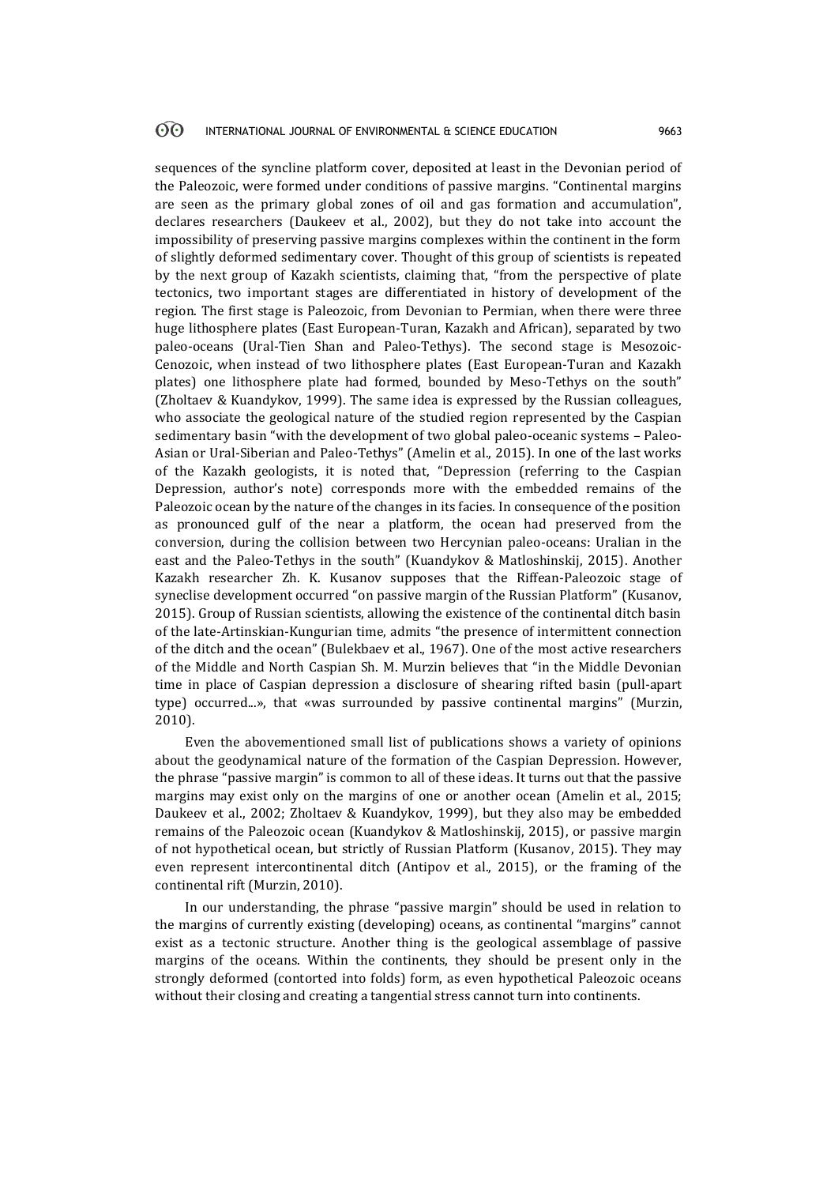#### 60 INTERNATIONAL JOURNAL OF ENVIRONMENTAL & SCIENCE EDUCATION 9663

sequences of the syncline platform cover, deposited at least in the Devonian period of the Paleozoic, were formed under conditions of passive margins. "Continental margins are seen as the primary global zones of oil and gas formation and accumulation", declares researchers (Daukeev et al., 2002), but they do not take into account the impossibility of preserving passive margins complexes within the continent in the form of slightly deformed sedimentary cover. Thought of this group of scientists is repeated by the next group of Kazakh scientists, claiming that, "from the perspective of plate tectonics, two important stages are differentiated in history of development of the region. The first stage is Paleozoic, from Devonian to Permian, when there were three huge lithosphere plates (East European-Turan, Kazakh and African), separated by two paleo-oceans (Ural-Tien Shan and Paleo-Tethys). The second stage is Mesozoic-Cenozoic, when instead of two lithosphere plates (East European-Turan and Kazakh plates) one lithosphere plate had formed, bounded by Meso-Tethys on the south" (Zholtaev & Kuandykov, 1999). The same idea is expressed by the Russian colleagues, who associate the geological nature of the studied region represented by the Caspian sedimentary basin "with the development of two global paleo-oceanic systems – Paleo-Asian or Ural-Siberian and Paleo-Tethys" (Amelin et al., 2015). In one of the last works of the Kazakh geologists, it is noted that, "Depression (referring to the Caspian Depression, author's note) corresponds more with the embedded remains of the Paleozoic ocean by the nature of the changes in its facies. In consequence of the position as pronounced gulf of the near a platform, the ocean had preserved from the conversion, during the collision between two Hercynian paleo-oceans: Uralian in the east and the Paleo-Tethys in the south" (Kuandykov & Matloshinskij, 2015). Another Kazakh researcher Zh. K. Kusanov supposes that the Riffean-Paleozoic stage of syneclise development occurred "on passive margin of the Russian Platform" (Kusanov, 2015). Group of Russian scientists, allowing the existence of the continental ditch basin of the late-Artinskian-Kungurian time, admits "the presence of intermittent connection of the ditch and the ocean" (Bulekbaev et al., 1967). One of the most active researchers of the Middle and North Caspian Sh. M. Murzin believes that "in the Middle Devonian time in place of Caspian depression a disclosure of shearing rifted basin (pull-apart type) occurred...», that «was surrounded by passive continental margins" (Murzin, 2010).

Even the abovementioned small list of publications shows a variety of opinions about the geodynamical nature of the formation of the Caspian Depression. However, the phrase "passive margin" is common to all of these ideas. It turns out that the passive margins may exist only on the margins of one or another ocean (Amelin et al., 2015; Daukeev et al., 2002; Zholtaev & Kuandykov, 1999), but they also may be embedded remains of the Paleozoic ocean (Kuandykov & Matloshinskij, 2015), or passive margin of not hypothetical ocean, but strictly of Russian Platform (Kusanov, 2015). They may even represent intercontinental ditch (Antipov et al., 2015), or the framing of the continental rift (Murzin, 2010).

In our understanding, the phrase "passive margin" should be used in relation to the margins of currently existing (developing) oceans, as continental "margins" cannot exist as a tectonic structure. Another thing is the geological assemblage of passive margins of the oceans. Within the continents, they should be present only in the strongly deformed (contorted into folds) form, as even hypothetical Paleozoic oceans without their closing and creating a tangential stress cannot turn into continents.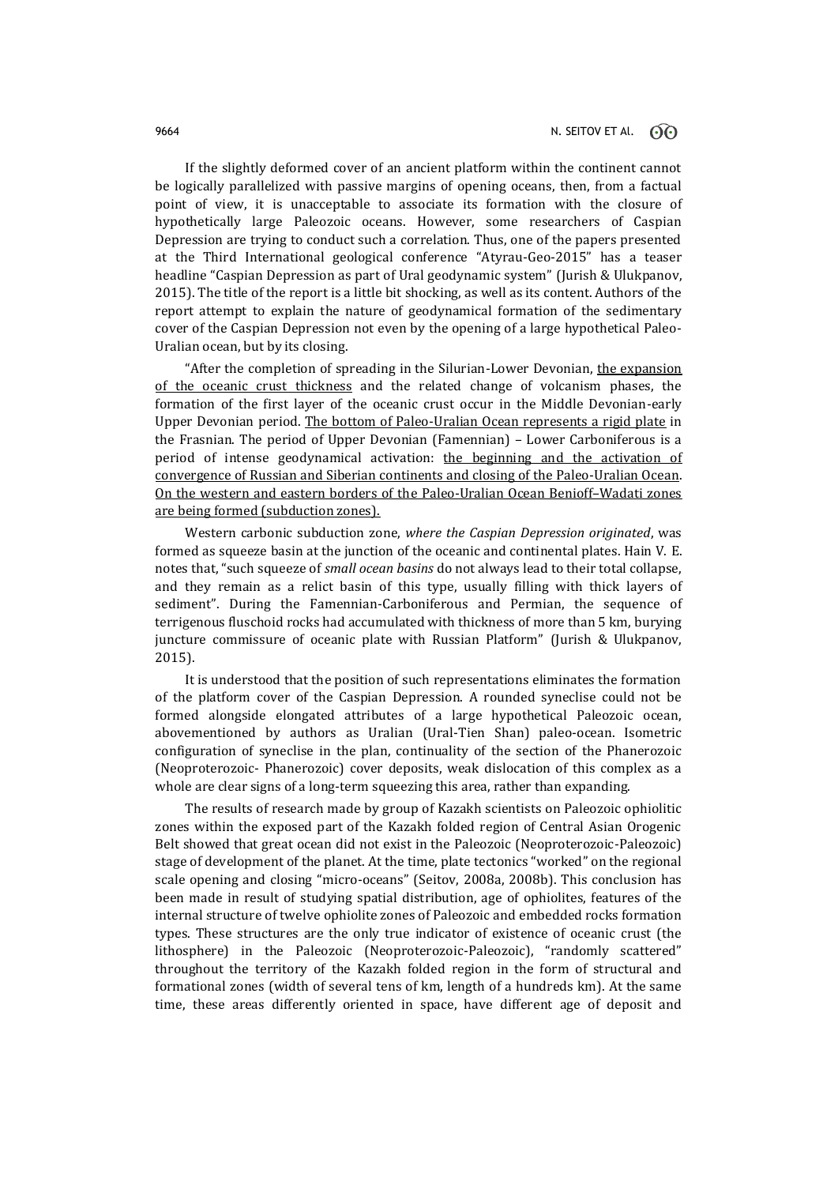If the slightly deformed cover of an ancient platform within the continent cannot be logically parallelized with passive margins of opening oceans, then, from a factual point of view, it is unacceptable to associate its formation with the closure of hypothetically large Paleozoic oceans. However, some researchers of Caspian Depression are trying to conduct such a correlation. Thus, one of the papers presented at the Third International geological conference "Atyrau-Geo-2015" has a teaser headline "Caspian Depression as part of Ural geodynamic system" (Jurish & Ulukpanov, 2015). The title of the report is a little bit shocking, as well as its content. Authors of the report attempt to explain the nature of geodynamical formation of the sedimentary cover of the Caspian Depression not even by the opening of a large hypothetical Paleo-Uralian ocean, but by its closing.

"After the completion of spreading in the Silurian-Lower Devonian, the expansion of the oceanic crust thickness and the related change of volcanism phases, the formation of the first layer of the oceanic crust occur in the Middle Devonian-early Upper Devonian period. The bottom of Paleo-Uralian Ocean represents a rigid plate in the Frasnian. The period of Upper Devonian (Famennian) – Lower Carboniferous is a period of intense geodynamical activation: the beginning and the activation of convergence of Russian and Siberian continents and closing of the Paleo-Uralian Ocean. On the western and eastern borders of the Paleo-Uralian Ocean Benioff–Wadati zones are being formed (subduction zones).

Western carbonic subduction zone, *where the Caspian Depression originated*, was formed as squeeze basin at the junction of the oceanic and continental plates. Hain V. E. notes that, "such squeeze of *small ocean basins* do not always lead to their total collapse, and they remain as a relict basin of this type, usually filling with thick layers of sediment". During the Famennian-Carboniferous and Permian, the sequence of terrigenous fluschoid rocks had accumulated with thickness of more than 5 km, burying juncture commissure of oceanic plate with Russian Platform" (Jurish & Ulukpanov, 2015).

It is understood that the position of such representations eliminates the formation of the platform cover of the Caspian Depression. A rounded syneclise could not be formed alongside elongated attributes of a large hypothetical Paleozoic ocean, abovementioned by authors as Uralian (Ural-Tien Shan) paleo-ocean. Isometric configuration of syneclise in the plan, continuality of the section of the Phanerozoic (Neoproterozoic- Phanerozoic) cover deposits, weak dislocation of this complex as a whole are clear signs of a long-term squeezing this area, rather than expanding.

The results of research made by group of Kazakh scientists on Paleozoic ophiolitic zones within the exposed part of the Kazakh folded region of Central Asian Orogenic Belt showed that great ocean did not exist in the Paleozoic (Neoproterozoic-Paleozoic) stage of development of the planet. At the time, plate tectonics "worked" on the regional scale opening and closing "micro-oceans" (Seitov, 2008a, 2008b). This conclusion has been made in result of studying spatial distribution, age of ophiolites, features of the internal structure of twelve ophiolite zones of Paleozoic and embedded rocks formation types. These structures are the only true indicator of existence of oceanic crust (the lithosphere) in the Paleozoic (Neoproterozoic-Paleozoic), "randomly scattered" throughout the territory of the Kazakh folded region in the form of structural and formational zones (width of several tens of km, length of a hundreds km). At the same time, these areas differently oriented in space, have different age of deposit and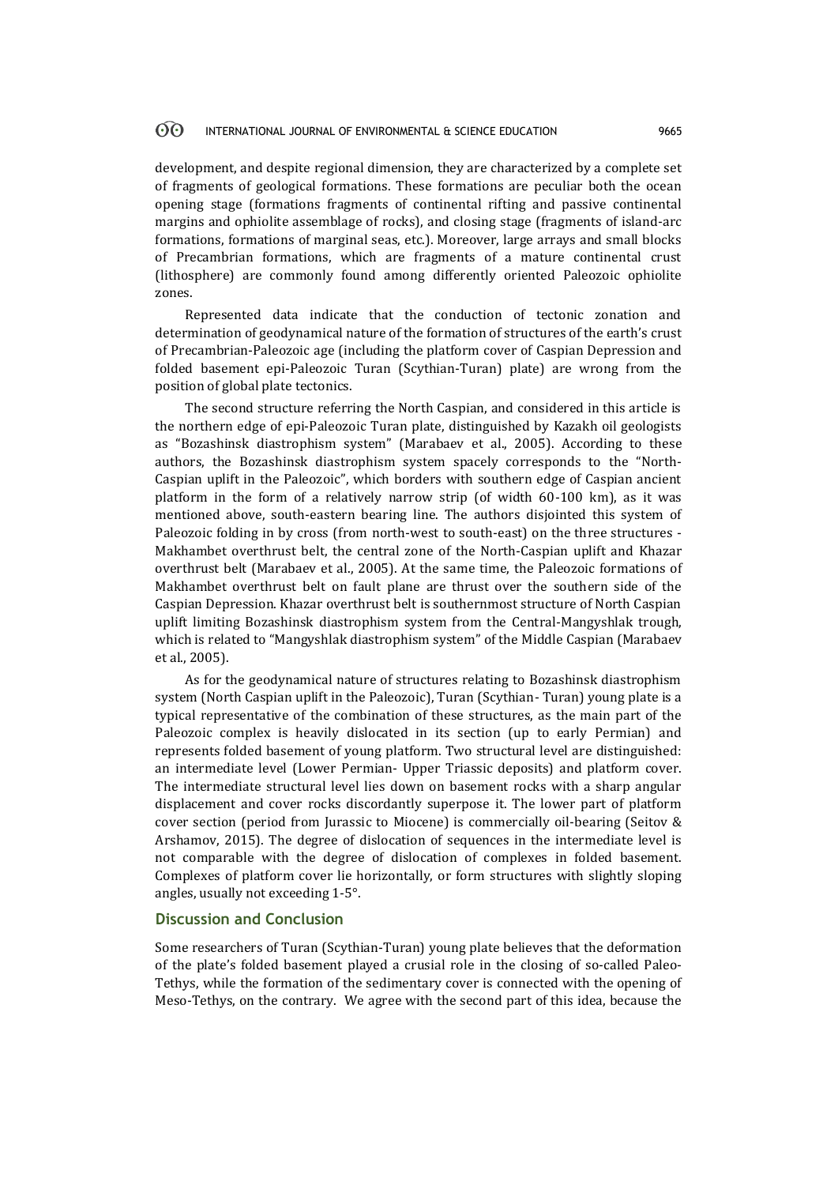#### 60 INTERNATIONAL JOURNAL OF ENVIRONMENTAL & SCIENCE EDUCATION 9665

development, and despite regional dimension, they are characterized by a complete set of fragments of geological formations. These formations are peculiar both the ocean opening stage (formations fragments of continental rifting and passive continental margins and ophiolite assemblage of rocks), and closing stage (fragments of island-arc formations, formations of marginal seas, etc.). Moreover, large arrays and small blocks of Precambrian formations, which are fragments of a mature continental crust (lithosphere) are commonly found among differently oriented Paleozoic ophiolite zones.

Represented data indicate that the conduction of tectonic zonation and determination of geodynamical nature of the formation of structures of the earth's crust of Precambrian-Paleozoic age (including the platform cover of Caspian Depression and folded basement epi-Paleozoic Turan (Scythian-Turan) plate) are wrong from the position of global plate tectonics.

The second structure referring the North Caspian, and considered in this article is the northern edge of epi-Paleozoic Turan plate, distinguished by Kazakh oil geologists as "Bozashinsk diastrophism system" (Marabaev et al., 2005). According to these authors, the Bozashinsk diastrophism system spacely corresponds to the "North-Caspian uplift in the Paleozoic", which borders with southern edge of Caspian ancient platform in the form of a relatively narrow strip (of width 60-100 km), as it was mentioned above, south-eastern bearing line. The authors disjointed this system of Paleozoic folding in by cross (from north-west to south-east) on the three structures - Makhambet overthrust belt, the central zone of the North-Caspian uplift and Khazar overthrust belt (Marabaev et al., 2005). At the same time, the Paleozoic formations of Makhambet overthrust belt on fault plane are thrust over the southern side of the Caspian Depression. Khazar overthrust belt is southernmost structure of North Caspian uplift limiting Bozashinsk diastrophism system from the Central-Mangyshlak trough, which is related to "Mangyshlak diastrophism system" of the Middle Caspian (Marabaev et al., 2005).

As for the geodynamical nature of structures relating to Bozashinsk diastrophism system (North Caspian uplift in the Paleozoic), Turan (Scythian- Turan) young plate is a typical representative of the combination of these structures, as the main part of the Paleozoic complex is heavily dislocated in its section (up to early Permian) and represents folded basement of young platform. Two structural level are distinguished: an intermediate level (Lower Permian- Upper Triassic deposits) and platform cover. The intermediate structural level lies down on basement rocks with a sharp angular displacement and cover rocks discordantly superpose it. The lower part of platform cover section (period from Jurassic to Miocene) is commercially oil-bearing (Seitov & Arshamov, 2015). The degree of dislocation of sequences in the intermediate level is not comparable with the degree of dislocation of complexes in folded basement. Complexes of platform cover lie horizontally, or form structures with slightly sloping angles, usually not exceeding 1-5°.

### **Discussion and Conclusion**

Some researchers of Turan (Scythian-Turan) young plate believes that the deformation of the plate's folded basement played a crusial role in the closing of so-called Paleo-Tethys, while the formation of the sedimentary cover is connected with the opening of Meso-Tethys, on the contrary. We agree with the second part of this idea, because the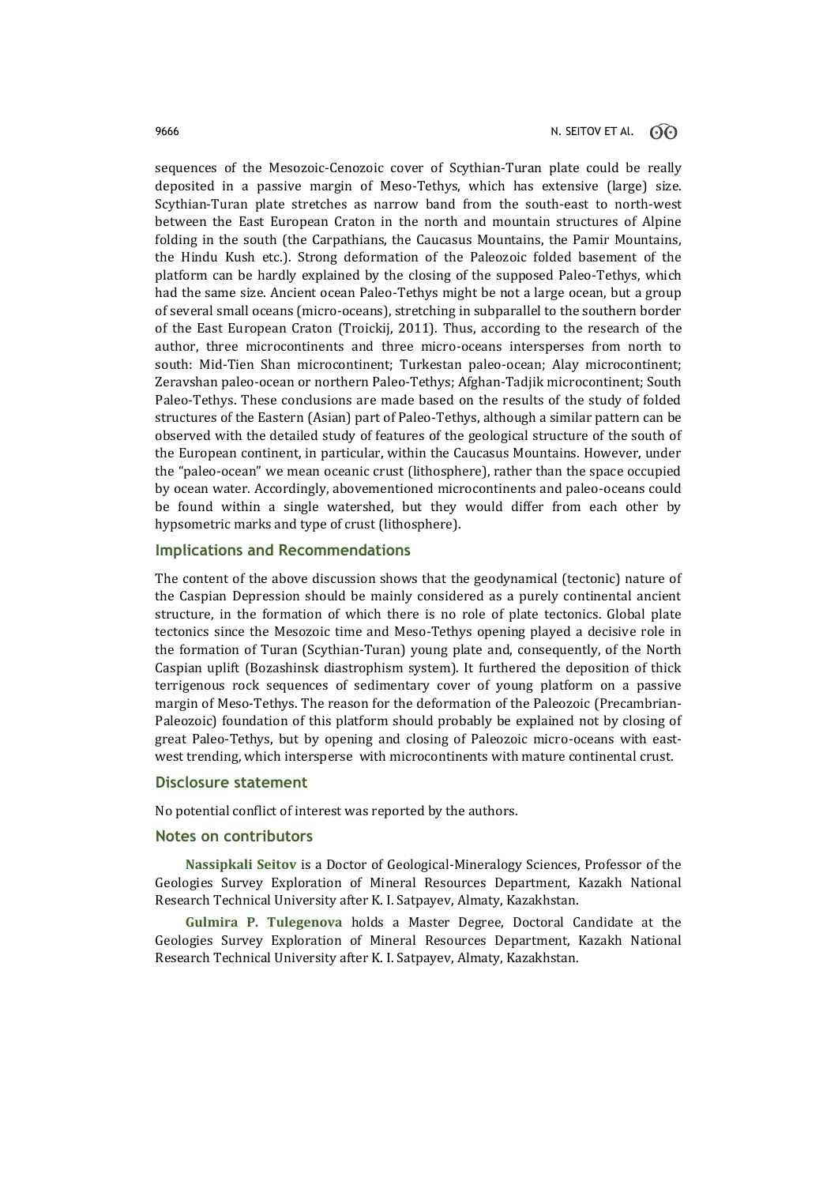sequences of the Mesozoic-Cenozoic cover of Scythian-Turan plate could be really deposited in a passive margin of Meso-Tethys, which has extensive (large) size. Scythian-Turan plate stretches as narrow band from the south-east to north-west between the East European Craton in the north and mountain structures of Alpine folding in the south (the Carpathians, the Caucasus Mountains, the Pamir Mountains, the Hindu Kush etc.). Strong deformation of the Paleozoic folded basement of the platform can be hardly explained by the closing of the supposed Paleo-Tethys, which had the same size. Ancient ocean Paleo-Tethys might be not a large ocean, but a group of several small oceans (micro-oceans), stretching in subparallel to the southern border of the East European Craton (Troickij, 2011). Thus, according to the research of the author, three microcontinents and three micro-oceans intersperses from north to south: Mid-Tien Shan microcontinent; Turkestan paleo-ocean; Alay microcontinent; Zeravshan paleo-ocean or northern Paleo-Tethys; Afghan-Tadjik microcontinent; South Paleo-Tethys. These conclusions are made based on the results of the study of folded structures of the Eastern (Asian) part of Paleo-Tethys, although a similar pattern can be observed with the detailed study of features of the geological structure of the south of the European continent, in particular, within the Caucasus Mountains. However, under the "paleo-ocean" we mean oceanic crust (lithosphere), rather than the space occupied by ocean water. Accordingly, abovementioned microcontinents and paleo-oceans could be found within a single watershed, but they would differ from each other by hypsometric marks and type of crust (lithosphere).

## **Implications and Recommendations**

The content of the above discussion shows that the geodynamical (tectonic) nature of the Caspian Depression should be mainly considered as a purely continental ancient structure, in the formation of which there is no role of plate tectonics. Global plate tectonics since the Mesozoic time and Meso-Tethys opening played a decisive role in the formation of Turan (Scythian-Turan) young plate and, consequently, of the North Caspian uplift (Bozashinsk diastrophism system). It furthered the deposition of thick terrigenous rock sequences of sedimentary cover of young platform on a passive margin of Meso-Tethys. The reason for the deformation of the Paleozoic (Precambrian-Paleozoic) foundation of this platform should probably be explained not by closing of great Paleo-Tethys, but by opening and closing of Paleozoic micro-oceans with eastwest trending, which intersperse with microcontinents with mature continental crust.

### **Disclosure statement**

No potential conflict of interest was reported by the authors.

## **Notes on contributors**

**Nassipkali Seitov** is a Doctor of Geological-Mineralogy Sciences, Professor of the Geologies Survey Exploration of Mineral Resources Department, Kazakh National Research Technical University after K. I. Satpayev, Almaty, Kazakhstan.

**Gulmira P. Tulegenova** holds a Master Degree, Doctoral Candidate at the Geologies Survey Exploration of Mineral Resources Department, Kazakh National Research Technical University after K. I. Satpayev, Almaty, Kazakhstan.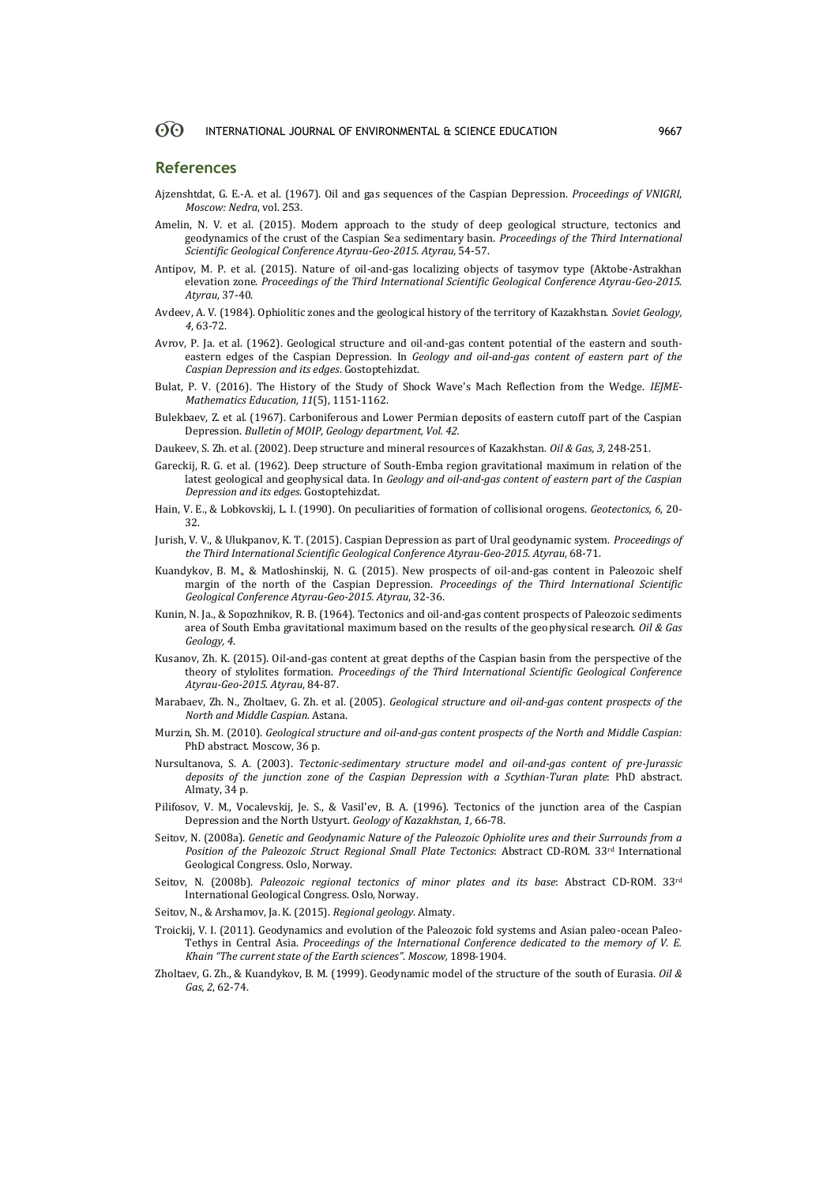### **References**

- Ajzenshtdat, G. E.-A. et al. (1967). Oil and gas sequences of the Caspian Depression. *Proceedings of VNIGRI*, *Moscow: Nedra*, vol. 253.
- Amelin, N. V. et al. (2015). Modern approach to the study of deep geological structure, tectonics and geodynamics of the crust of the Caspian Sea sedimentary basin. *Proceedings of the Third International Scientific Geological Conference Atyrau-Geo-2015. Atyrau,* 54-57.
- Antipov, M. P. et al. (2015). Nature of oil-and-gas localizing objects of tasymov type (Aktobe-Astrakhan elevation zone. *Proceedings of the Third International Scientific Geological Conference Atyrau-Geo-2015*. *Atyrau,* 37-40.
- Avdeev, A. V. (1984). Ophiolitic zones and the geological history of the territory of Kazakhstan. *Soviet Geology, 4*, 63-72.
- Avrov, P. Ja. et al. (1962). Geological structure and oil-and-gas content potential of the eastern and southeastern edges of the Caspian Depression. In *Geology and oil-and-gas content of eastern part of the Caspian Depression and its edges*. Gostoptehizdat.
- Bulat, P. V. (2016). The History of the Study of Shock Wave's Mach Reflection from the Wedge. *IEJME-Mathematics Education, 11*(5), 1151-1162.
- Bulekbaev, Z. et al. (1967). Carboniferous and Lower Permian deposits of eastern cutoff part of the Caspian Depression. *Bulletin of MOIP, Geology department, Vol. 42.*
- Daukeev, S. Zh. et al. (2002). Deep structure and mineral resources of Kazakhstan. *Oil & Gas, 3*, 248-251.
- Gareckij, R. G. et al. (1962). Deep structure of South-Emba region gravitational maximum in relation of the latest geological and geophysical data. In *Geology and oil-and-gas content of eastern part of the Caspian Depression and its edges.* Gostoptehizdat.
- Hain, V. E., & Lobkovskij, L. I. (1990). On peculiarities of formation of collisional orogens. *Geotectonics, 6,* 20- 32.
- Jurish, V. V., & Ulukpanov, K. T. (2015). Caspian Depression as part of Ural geodynamic system. *Proceedings of the Third International Scientific Geological Conference Atyrau-Geo-2015. Atyrau,* 68-71.
- Kuandykov, B. M., & Matloshinskij, N. G. (2015). New prospects of oil-and-gas content in Paleozoic shelf margin of the north of the Caspian Depression. *Proceedings of the Third International Scientific Geological Conference Atyrau-Geo-2015. Atyrau*, 32-36.
- Kunin, N. Ja., & Sopozhnikov, R. B. (1964). Tectonics and oil-and-gas content prospects of Paleozoic sediments area of South Emba gravitational maximum based on the results of the geophysical research. *Oil & Gas Geology, 4*.
- Kusanov, Zh. K. (2015). Oil-and-gas content at great depths of the Caspian basin from the perspective of the theory of stylolites formation. *Proceedings of the Third International Scientific Geological Conference Atyrau-Geo-2015. Atyrau*, 84-87.
- Marabaev, Zh. N., Zholtaev, G. Zh. et al. (2005). *Geological structure and oil-and-gas content prospects of the North and Middle Caspian.* Astana.
- Murzin, Sh. M. (2010). *Geological structure and oil-and-gas content prospects of the North and Middle Caspian:* PhD abstract. Moscow, 36 p.
- Nursultanova, S. A. (2003). *Tectonic-sedimentary structure model and oil-and-gas content of pre-Jurassic deposits of the junction zone of the Caspian Depression with a Scythian-Turan plate*: PhD abstract. Almaty, 34 p.
- Pilifosov, V. M., Vocalevskij, Je. S., & Vasil'ev, B. A. (1996). Tectonics of the junction area of the Caspian Depression and the North Ustyurt. *Geology of Kazakhstan, 1,* 66-78.
- Seitov, N. (2008a). *Genetic and Geodynamic Nature of the Paleozoic Ophiolite ures and their Surrounds from a Position of the Paleozoic Struct Regional Small Plate Tectonics*: Abstract CD-ROM. 33rd International Geological Congress. Oslo, Norway.
- Seitov, N. (2008b). *Paleozoic regional tectonics of minor plates and its base*: Abstract CD-ROM. 33rd International Geological Congress. Oslo, Norway.
- Seitov, N., & Arshamov, Ja. K. (2015). *Regional geology*. Almaty.
- Troickij, V. I. (2011). Geodynamics and evolution of the Paleozoic fold systems and Asian paleo-ocean Paleo-Tethys in Central Asia. *Proceedings of the International Conference dedicated to the memory of V. E. Khain "The current state of the Earth sciences"*. *Moscow,* 1898-1904.
- Zholtaev, G. Zh., & Kuandykov, B. M. (1999). Geodynamic model of the structure of the south of Eurasia. *Oil & Gas, 2*, 62-74.